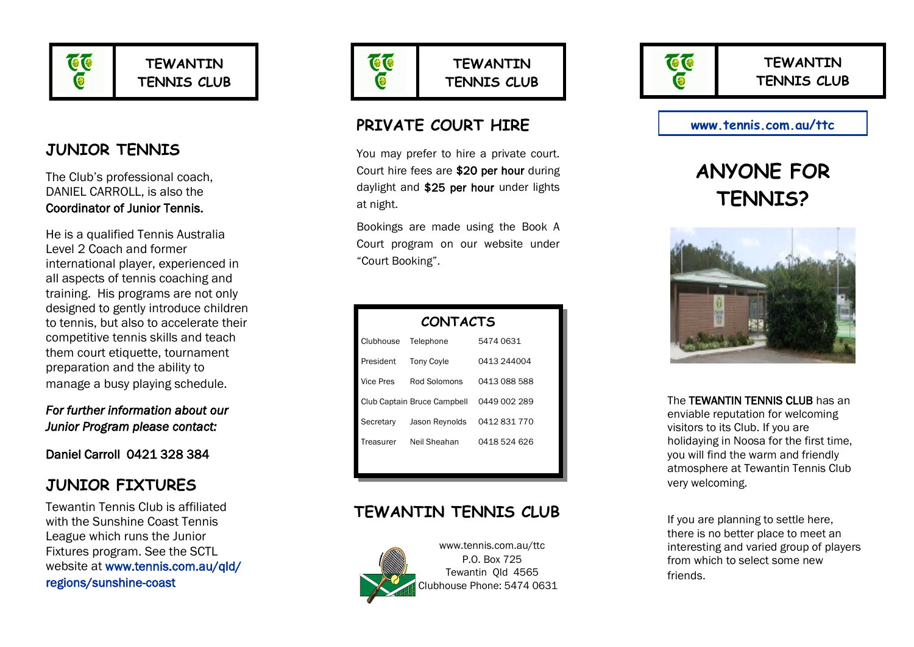

**TEWANTIN TENNIS CLUB** 

### **JUNIOR TENNIS**

The Club's professional coach, DANIEL CARROLL, is also the Coordinator of Junior Tennis.

He is a qualified Tennis Australia Level 2 Coach and former international player, experienced in all aspects of tennis coaching and training. His programs are not only designed to gently introduce children to tennis, but also to accelerate their competitive tennis skills and teach them court etiquette, tournament preparation and the ability to manage a busy playing schedule.

*For further information about our Junior Program please contact:* 

Daniel Carroll 0421 328 384

### **JUNIOR FIXTURES**

Tewantin Tennis Club is affiliated with the Sunshine Coast Tennis League which runs the Junior Fixtures program. See the SCTL website at www.tennis.com.au/qld/ regions/sunshine -coast



#### **PRIVATE COURT HIRE**

You may prefer to hire a private court. Court hire fees are \$20 per hour during daylight and \$25 per hour under lights at night.

Bookings are made using the Book A Court program on our website under "Court Booking".

| <b>CONTACTS</b> |                             |              |  |
|-----------------|-----------------------------|--------------|--|
| Clubhouse       | Telephone                   | 5474 0631    |  |
| President       | <b>Tony Coyle</b>           | 0413 244004  |  |
| Vice Pres       | Rod Solomons                | 0413 088 588 |  |
|                 | Club Captain Bruce Campbell | 0449 002 289 |  |
| Secretary       | Jason Reynolds              | 0412831770   |  |
| Treasurer       | Neil Sheahan                | 0418 524 626 |  |
|                 |                             |              |  |

### **TEWANTIN TENNIS CLUB**



www.tennis.com.au/ttc P.O. Box 725 Tewantin Qld 4565 Clubhouse Phone: 5474 0631



**TEWANTIN TENNIS CLUB** 

**www.tennis.com.au/ttc**

# **ANYONE FOR TENNIS?**



The TEWANTIN TENNIS CLUB has an enviable reputation for welcoming visitors to its Club. If you are holidaying in Noosa for the first time, you will find the warm and friendly atmosphere at Tewantin Tennis Club very welcoming.<br>If you are planning to settle here,

there is no better place to meet an interesting and varied group of players from which to select some new friends .